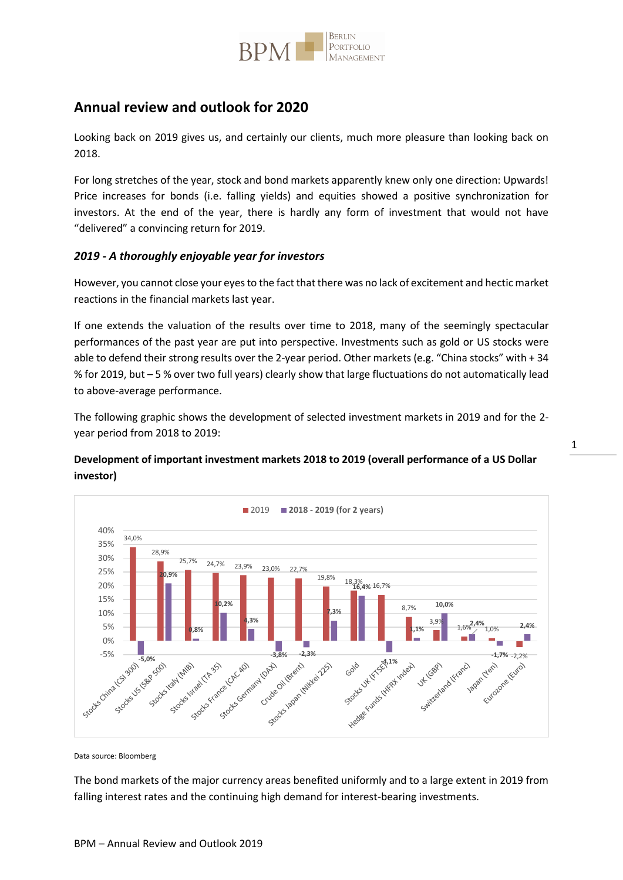

# **Annual review and outlook for 2020**

Looking back on 2019 gives us, and certainly our clients, much more pleasure than looking back on 2018.

For long stretches of the year, stock and bond markets apparently knew only one direction: Upwards! Price increases for bonds (i.e. falling yields) and equities showed a positive synchronization for investors. At the end of the year, there is hardly any form of investment that would not have "delivered" a convincing return for 2019.

### *2019 - A thoroughly enjoyable year for investors*

However, you cannot close your eyes to the fact that there was no lack of excitement and hectic market reactions in the financial markets last year.

If one extends the valuation of the results over time to 2018, many of the seemingly spectacular performances of the past year are put into perspective. Investments such as gold or US stocks were able to defend their strong results over the 2-year period. Other markets (e.g. "China stocks" with + 34 % for 2019, but – 5 % over two full years) clearly show that large fluctuations do not automatically lead to above-average performance.

The following graphic shows the development of selected investment markets in 2019 and for the 2 year period from 2018 to 2019:

## **Development of important investment markets 2018 to 2019 (overall performance of a US Dollar investor)**



Data source: Bloomberg

The bond markets of the major currency areas benefited uniformly and to a large extent in 2019 from falling interest rates and the continuing high demand for interest-bearing investments.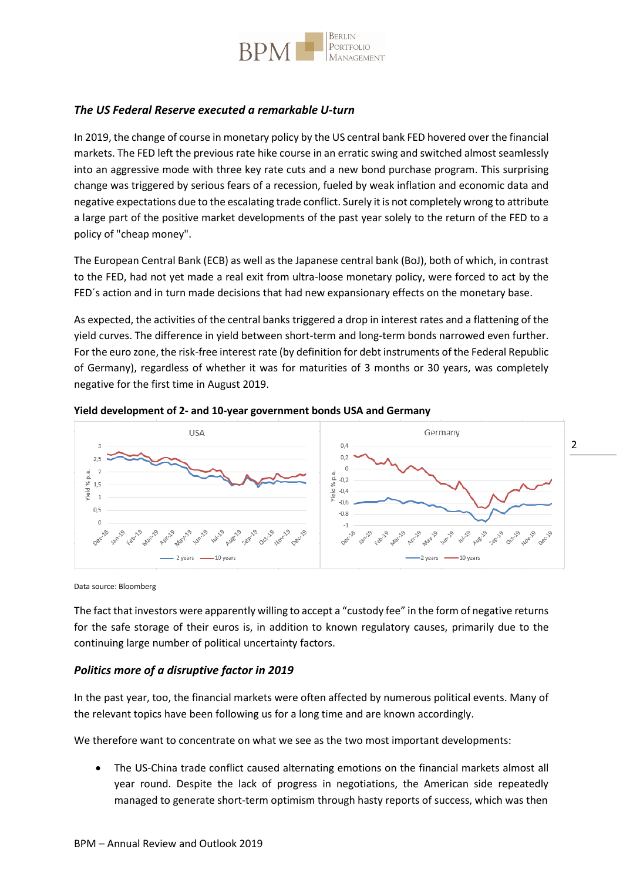

### *The US Federal Reserve executed a remarkable U-turn*

In 2019, the change of course in monetary policy by the US central bank FED hovered over the financial markets. The FED left the previous rate hike course in an erratic swing and switched almost seamlessly into an aggressive mode with three key rate cuts and a new bond purchase program. This surprising change was triggered by serious fears of a recession, fueled by weak inflation and economic data and negative expectations due to the escalating trade conflict. Surely it is not completely wrong to attribute a large part of the positive market developments of the past year solely to the return of the FED to a policy of "cheap money".

The European Central Bank (ECB) as well as the Japanese central bank (BoJ), both of which, in contrast to the FED, had not yet made a real exit from ultra-loose monetary policy, were forced to act by the FED´s action and in turn made decisions that had new expansionary effects on the monetary base.

As expected, the activities of the central banks triggered a drop in interest rates and a flattening of the yield curves. The difference in yield between short-term and long-term bonds narrowed even further. For the euro zone, the risk-free interest rate (by definition for debt instruments of the Federal Republic of Germany), regardless of whether it was for maturities of 3 months or 30 years, was completely negative for the first time in August 2019.



2

#### **Yield development of 2- and 10-year government bonds USA and Germany**

Data source: Bloomberg

The fact that investors were apparently willing to accept a "custody fee" in the form of negative returns for the safe storage of their euros is, in addition to known regulatory causes, primarily due to the continuing large number of political uncertainty factors.

### *Politics more of a disruptive factor in 2019*

In the past year, too, the financial markets were often affected by numerous political events. Many of the relevant topics have been following us for a long time and are known accordingly.

We therefore want to concentrate on what we see as the two most important developments:

 The US-China trade conflict caused alternating emotions on the financial markets almost all year round. Despite the lack of progress in negotiations, the American side repeatedly managed to generate short-term optimism through hasty reports of success, which was then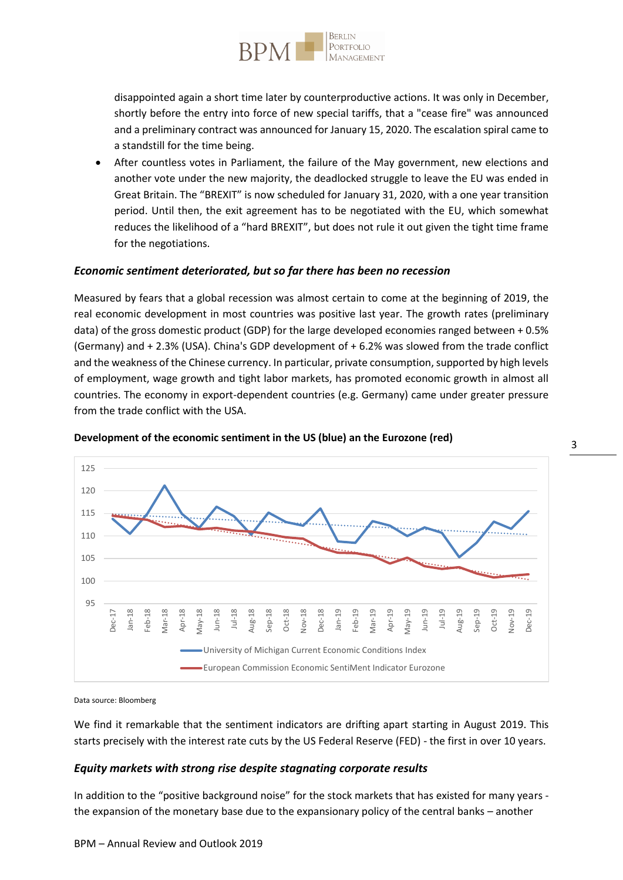

disappointed again a short time later by counterproductive actions. It was only in December, shortly before the entry into force of new special tariffs, that a "cease fire" was announced and a preliminary contract was announced for January 15, 2020. The escalation spiral came to a standstill for the time being.

 After countless votes in Parliament, the failure of the May government, new elections and another vote under the new majority, the deadlocked struggle to leave the EU was ended in Great Britain. The "BREXIT" is now scheduled for January 31, 2020, with a one year transition period. Until then, the exit agreement has to be negotiated with the EU, which somewhat reduces the likelihood of a "hard BREXIT", but does not rule it out given the tight time frame for the negotiations.

#### *Economic sentiment deteriorated, but so far there has been no recession*

Measured by fears that a global recession was almost certain to come at the beginning of 2019, the real economic development in most countries was positive last year. The growth rates (preliminary data) of the gross domestic product (GDP) for the large developed economies ranged between + 0.5% (Germany) and + 2.3% (USA). China's GDP development of + 6.2% was slowed from the trade conflict and the weakness of the Chinese currency. In particular, private consumption, supported by high levels of employment, wage growth and tight labor markets, has promoted economic growth in almost all countries. The economy in export-dependent countries (e.g. Germany) came under greater pressure from the trade conflict with the USA.



#### **Development of the economic sentiment in the US (blue) an the Eurozone (red)**

Data source: Bloomberg

We find it remarkable that the sentiment indicators are drifting apart starting in August 2019. This starts precisely with the interest rate cuts by the US Federal Reserve (FED) - the first in over 10 years.

#### *Equity markets with strong rise despite stagnating corporate results*

In addition to the "positive background noise" for the stock markets that has existed for many years the expansion of the monetary base due to the expansionary policy of the central banks – another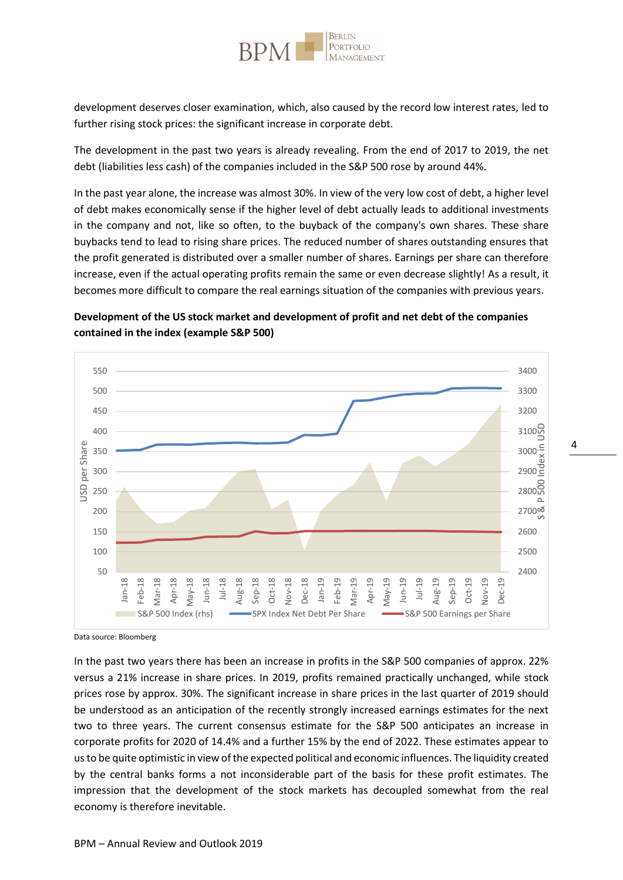

development deserves closer examination, which, also caused by the record low interest rates, led to further rising stock prices: the significant increase in corporate debt.

The development in the past two years is already revealing. From the end of 2017 to 2019, the net debt (liabilities less cash) of the companies included in the S&P 500 rose by around 44%.

In the past year alone, the increase was almost 30%. In view of the very low cost of debt, a higher level of debt makes economically sense if the higher level of debt actually leads to additional investments in the company and not, like so often, to the buyback of the company's own shares. These share buybacks tend to lead to rising share prices. The reduced number of shares outstanding ensures that the profit generated is distributed over a smaller number of shares. Earnings per share can therefore increase, even if the actual operating profits remain the same or even decrease slightly! As a result, it becomes more difficult to compare the real earnings situation of the companies with previous years.

## **Development of the US stock market and development of profit and net debt of the companies contained in the index (example S&P 500)**



Data source: Bloomberg

In the past two years there has been an increase in profits in the S&P 500 companies of approx. 22% versus a 21% increase in share prices. In 2019, profits remained practically unchanged, while stock prices rose by approx. 30%. The significant increase in share prices in the last quarter of 2019 should be understood as an anticipation of the recently strongly increased earnings estimates for the next two to three years. The current consensus estimate for the S&P 500 anticipates an increase in corporate profits for 2020 of 14.4% and a further 15% by the end of 2022. These estimates appear to us to be quite optimistic in view of the expected political and economic influences. The liquidity created by the central banks forms a not inconsiderable part of the basis for these profit estimates. The impression that the development of the stock markets has decoupled somewhat from the real economy is therefore inevitable.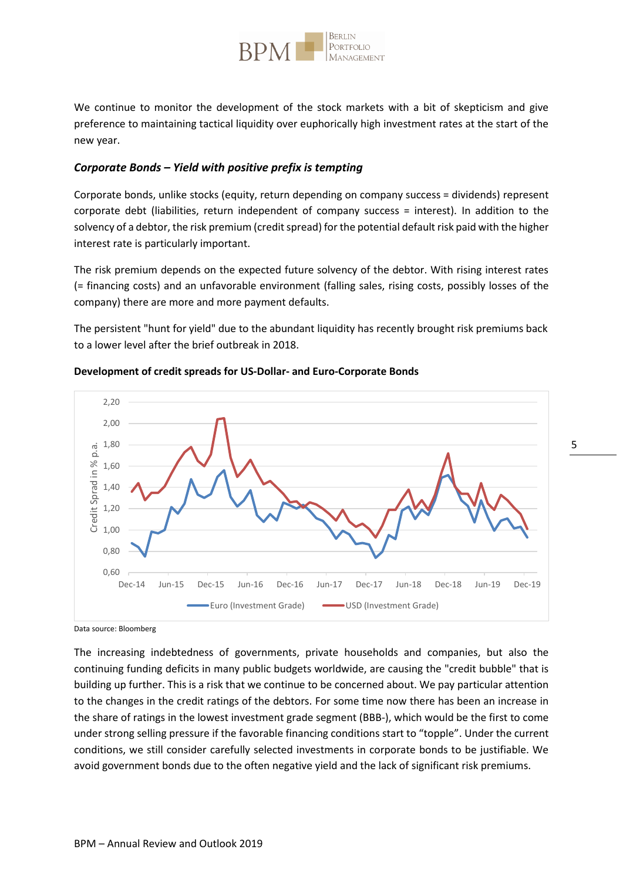

We continue to monitor the development of the stock markets with a bit of skepticism and give preference to maintaining tactical liquidity over euphorically high investment rates at the start of the new year.

### *Corporate Bonds – Yield with positive prefix is tempting*

Corporate bonds, unlike stocks (equity, return depending on company success = dividends) represent corporate debt (liabilities, return independent of company success = interest). In addition to the solvency of a debtor, the risk premium (credit spread) for the potential default risk paid with the higher interest rate is particularly important.

The risk premium depends on the expected future solvency of the debtor. With rising interest rates (= financing costs) and an unfavorable environment (falling sales, rising costs, possibly losses of the company) there are more and more payment defaults.

The persistent "hunt for yield" due to the abundant liquidity has recently brought risk premiums back to a lower level after the brief outbreak in 2018.



#### **Development of credit spreads for US-Dollar- and Euro-Corporate Bonds**

Data source: Bloomberg

The increasing indebtedness of governments, private households and companies, but also the continuing funding deficits in many public budgets worldwide, are causing the "credit bubble" that is building up further. This is a risk that we continue to be concerned about. We pay particular attention to the changes in the credit ratings of the debtors. For some time now there has been an increase in the share of ratings in the lowest investment grade segment (BBB-), which would be the first to come under strong selling pressure if the favorable financing conditions start to "topple". Under the current conditions, we still consider carefully selected investments in corporate bonds to be justifiable. We avoid government bonds due to the often negative yield and the lack of significant risk premiums.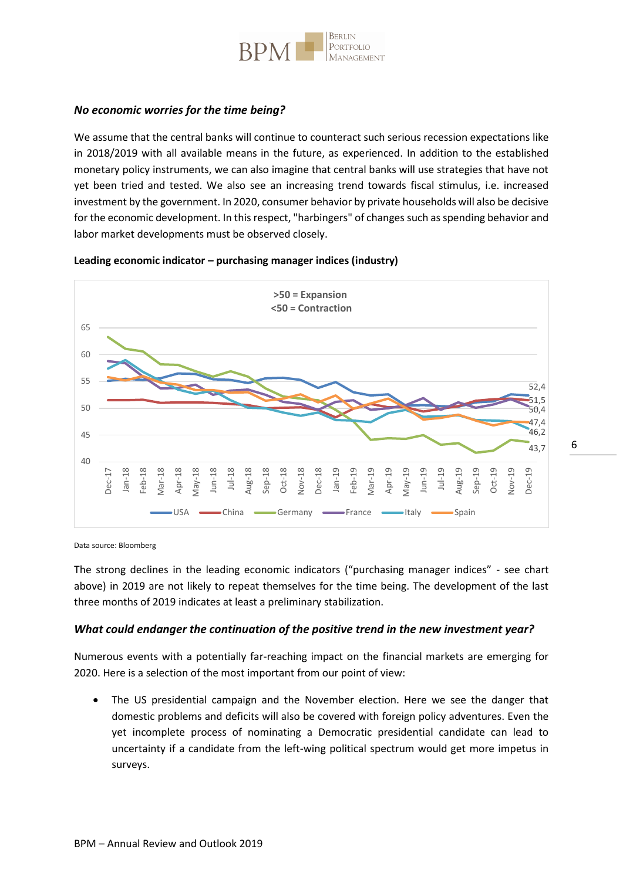

### *No economic worries for the time being?*

We assume that the central banks will continue to counteract such serious recession expectations like in 2018/2019 with all available means in the future, as experienced. In addition to the established monetary policy instruments, we can also imagine that central banks will use strategies that have not yet been tried and tested. We also see an increasing trend towards fiscal stimulus, i.e. increased investment by the government. In 2020, consumer behavior by private households will also be decisive for the economic development. In this respect, "harbingers" of changes such as spending behavior and labor market developments must be observed closely.

#### **Leading economic indicator – purchasing manager indices (industry)**



Data source: Bloomberg

The strong declines in the leading economic indicators ("purchasing manager indices" - see chart above) in 2019 are not likely to repeat themselves for the time being. The development of the last three months of 2019 indicates at least a preliminary stabilization.

#### *What could endanger the continuation of the positive trend in the new investment year?*

Numerous events with a potentially far-reaching impact on the financial markets are emerging for 2020. Here is a selection of the most important from our point of view:

 The US presidential campaign and the November election. Here we see the danger that domestic problems and deficits will also be covered with foreign policy adventures. Even the yet incomplete process of nominating a Democratic presidential candidate can lead to uncertainty if a candidate from the left-wing political spectrum would get more impetus in surveys.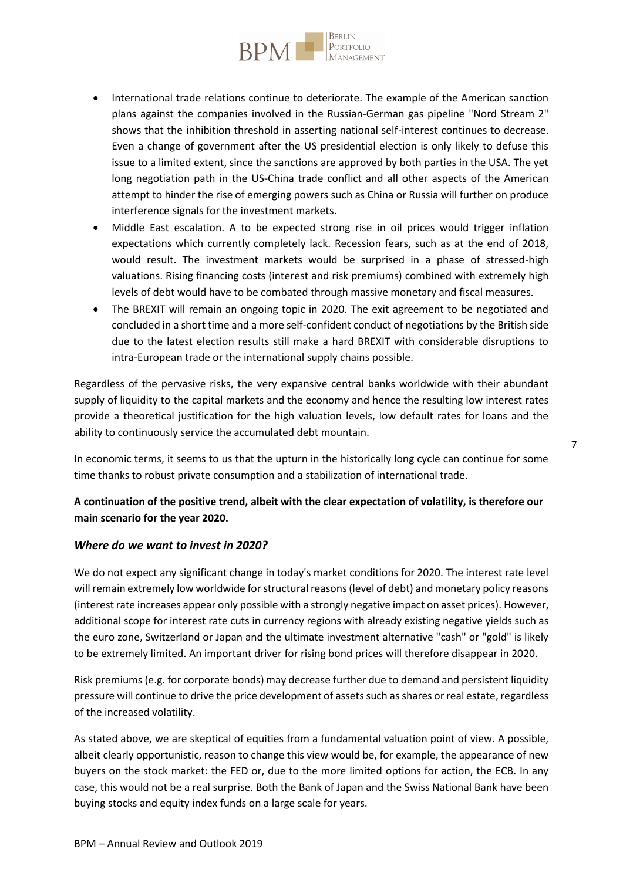

- International trade relations continue to deteriorate. The example of the American sanction plans against the companies involved in the Russian-German gas pipeline "Nord Stream 2" shows that the inhibition threshold in asserting national self-interest continues to decrease. Even a change of government after the US presidential election is only likely to defuse this issue to a limited extent, since the sanctions are approved by both parties in the USA. The yet long negotiation path in the US-China trade conflict and all other aspects of the American attempt to hinder the rise of emerging powers such as China or Russia will further on produce interference signals for the investment markets.
- Middle East escalation. A to be expected strong rise in oil prices would trigger inflation expectations which currently completely lack. Recession fears, such as at the end of 2018, would result. The investment markets would be surprised in a phase of stressed-high valuations. Rising financing costs (interest and risk premiums) combined with extremely high levels of debt would have to be combated through massive monetary and fiscal measures.
- The BREXIT will remain an ongoing topic in 2020. The exit agreement to be negotiated and concluded in a short time and a more self-confident conduct of negotiations by the British side due to the latest election results still make a hard BREXIT with considerable disruptions to intra-European trade or the international supply chains possible.

Regardless of the pervasive risks, the very expansive central banks worldwide with their abundant supply of liquidity to the capital markets and the economy and hence the resulting low interest rates provide a theoretical justification for the high valuation levels, low default rates for loans and the ability to continuously service the accumulated debt mountain.

In economic terms, it seems to us that the upturn in the historically long cycle can continue for some time thanks to robust private consumption and a stabilization of international trade.

## **A continuation of the positive trend, albeit with the clear expectation of volatility, is therefore our main scenario for the year 2020.**

### *Where do we want to invest in 2020?*

We do not expect any significant change in today's market conditions for 2020. The interest rate level will remain extremely low worldwide for structural reasons (level of debt) and monetary policy reasons (interest rate increases appear only possible with a strongly negative impact on asset prices). However, additional scope for interest rate cuts in currency regions with already existing negative yields such as the euro zone, Switzerland or Japan and the ultimate investment alternative "cash" or "gold" is likely to be extremely limited. An important driver for rising bond prices will therefore disappear in 2020.

Risk premiums (e.g. for corporate bonds) may decrease further due to demand and persistent liquidity pressure will continue to drive the price development of assets such as shares or real estate, regardless of the increased volatility.

As stated above, we are skeptical of equities from a fundamental valuation point of view. A possible, albeit clearly opportunistic, reason to change this view would be, for example, the appearance of new buyers on the stock market: the FED or, due to the more limited options for action, the ECB. In any case, this would not be a real surprise. Both the Bank of Japan and the Swiss National Bank have been buying stocks and equity index funds on a large scale for years.